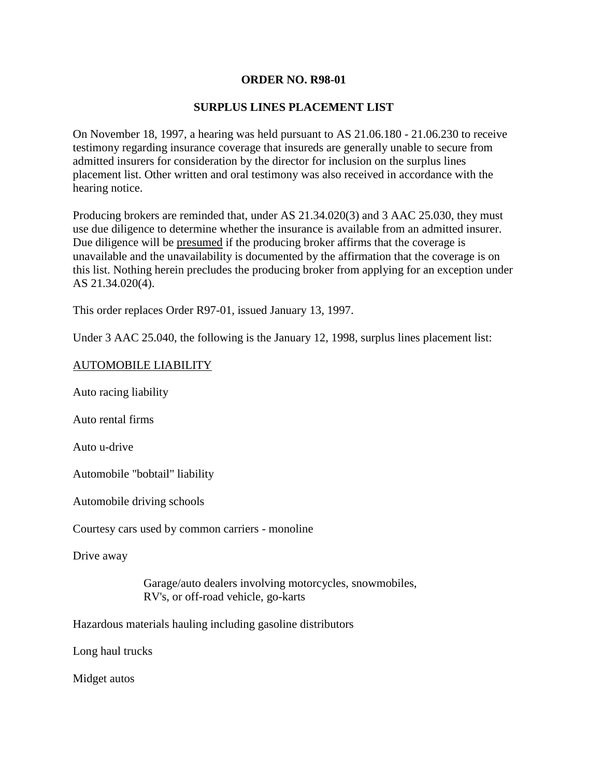## **ORDER NO. R98-01**

# **SURPLUS LINES PLACEMENT LIST**

On November 18, 1997, a hearing was held pursuant to AS 21.06.180 - 21.06.230 to receive testimony regarding insurance coverage that insureds are generally unable to secure from admitted insurers for consideration by the director for inclusion on the surplus lines placement list. Other written and oral testimony was also received in accordance with the hearing notice.

Producing brokers are reminded that, under AS 21.34.020(3) and 3 AAC 25.030, they must use due diligence to determine whether the insurance is available from an admitted insurer. Due diligence will be presumed if the producing broker affirms that the coverage is unavailable and the unavailability is documented by the affirmation that the coverage is on this list. Nothing herein precludes the producing broker from applying for an exception under AS 21.34.020(4).

This order replaces Order R97-01, issued January 13, 1997.

Under 3 AAC 25.040, the following is the January 12, 1998, surplus lines placement list:

### AUTOMOBILE LIABILITY

Auto racing liability

Auto rental firms

Auto u-drive

Automobile "bobtail" liability

Automobile driving schools

Courtesy cars used by common carriers - monoline

Drive away

Garage/auto dealers involving motorcycles, snowmobiles, RV's, or off-road vehicle, go-karts

Hazardous materials hauling including gasoline distributors

Long haul trucks

Midget autos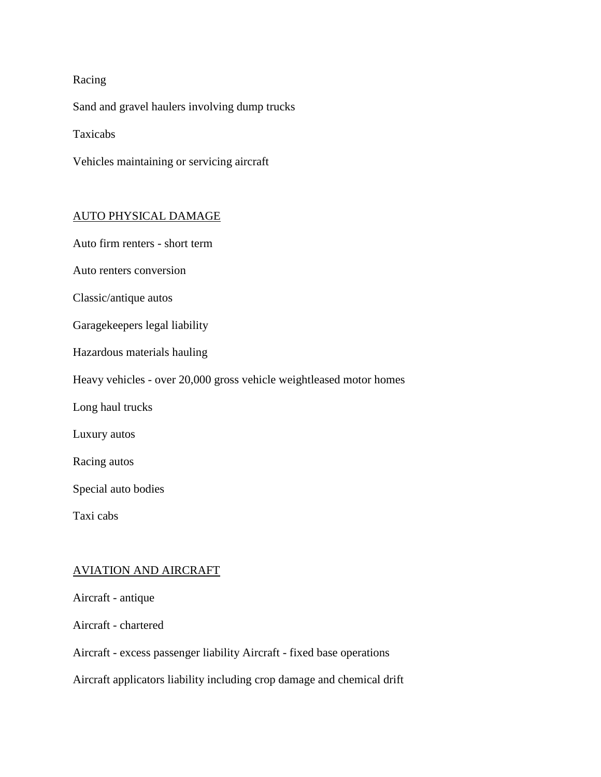# Racing

Sand and gravel haulers involving dump trucks

Taxicabs

Vehicles maintaining or servicing aircraft

### AUTO PHYSICAL DAMAGE

Auto firm renters - short term

Auto renters conversion

Classic/antique autos

Garagekeepers legal liability

Hazardous materials hauling

Heavy vehicles - over 20,000 gross vehicle weightleased motor homes

Long haul trucks

Luxury autos

Racing autos

Special auto bodies

Taxi cabs

## AVIATION AND AIRCRAFT

Aircraft - antique

Aircraft - chartered

Aircraft - excess passenger liability Aircraft - fixed base operations

Aircraft applicators liability including crop damage and chemical drift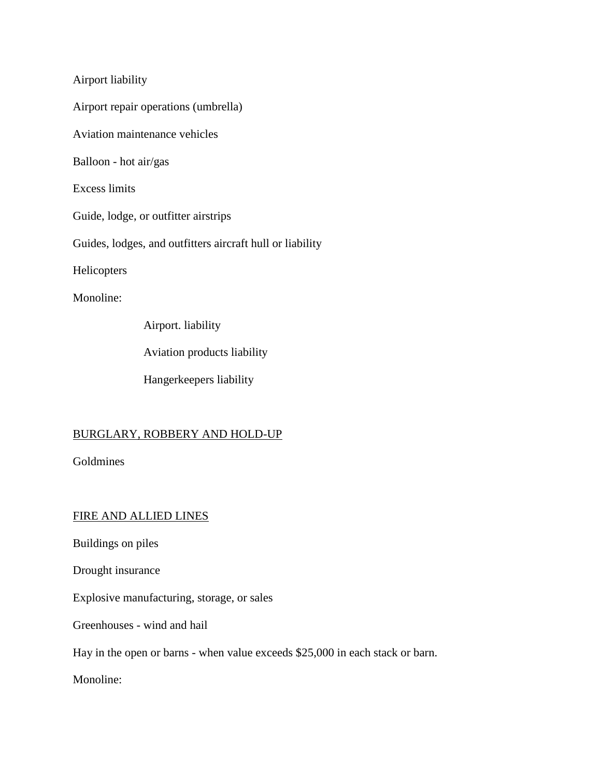Airport liability

Airport repair operations (umbrella)

Aviation maintenance vehicles

Balloon - hot air/gas

Excess limits

Guide, lodge, or outfitter airstrips

Guides, lodges, and outfitters aircraft hull or liability

Helicopters

Monoline:

Airport. liability

Aviation products liability

Hangerkeepers liability

# BURGLARY, ROBBERY AND HOLD-UP

Goldmines

# FIRE AND ALLIED LINES

Buildings on piles

Drought insurance

Explosive manufacturing, storage, or sales

Greenhouses - wind and hail

Hay in the open or barns - when value exceeds \$25,000 in each stack or barn.

Monoline: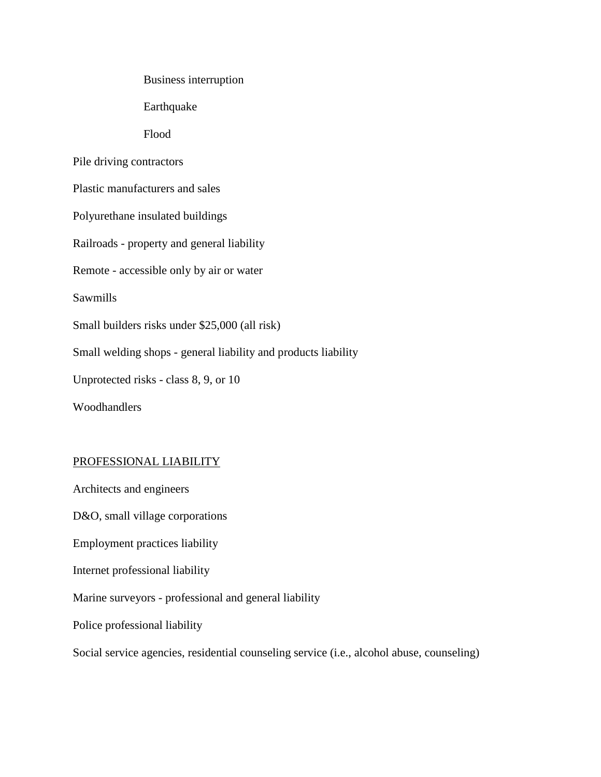Business interruption

Earthquake

Flood

Pile driving contractors

Plastic manufacturers and sales

Polyurethane insulated buildings

Railroads - property and general liability

Remote - accessible only by air or water

Sawmills

Small builders risks under \$25,000 (all risk)

Small welding shops - general liability and products liability

Unprotected risks - class 8, 9, or 10

Woodhandlers

#### PROFESSIONAL LIABILITY

Architects and engineers D&O, small village corporations Employment practices liability Internet professional liability Marine surveyors - professional and general liability Police professional liability Social service agencies, residential counseling service (i.e., alcohol abuse, counseling)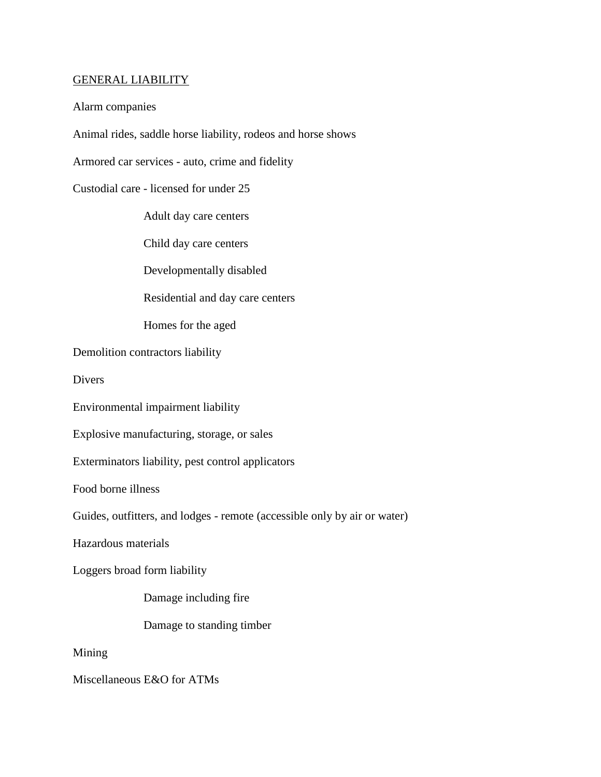### GENERAL LIABILITY

Alarm companies

Animal rides, saddle horse liability, rodeos and horse shows

Armored car services - auto, crime and fidelity

Custodial care - licensed for under 25

Adult day care centers

Child day care centers

Developmentally disabled

Residential and day care centers

Homes for the aged

Demolition contractors liability

**Divers** 

Environmental impairment liability

Explosive manufacturing, storage, or sales

Exterminators liability, pest control applicators

Food borne illness

Guides, outfitters, and lodges - remote (accessible only by air or water)

Hazardous materials

Loggers broad form liability

Damage including fire

Damage to standing timber

Mining

Miscellaneous E&O for ATMs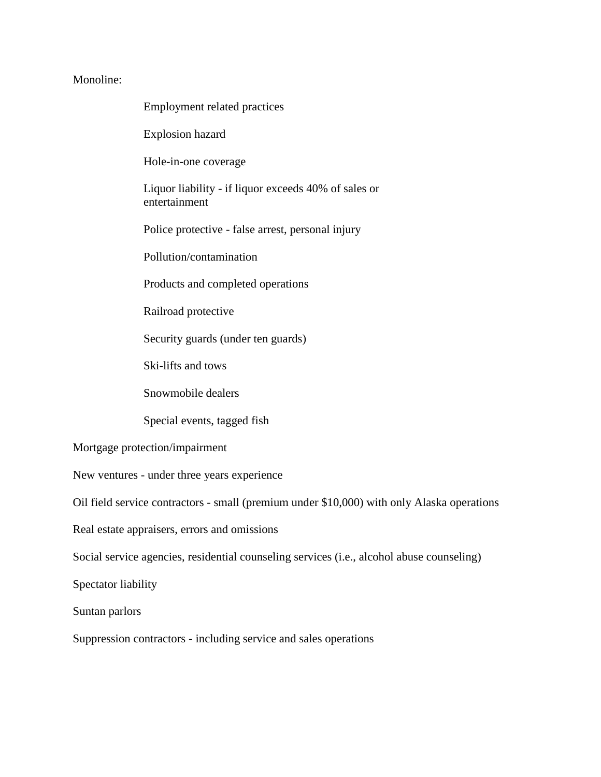## Monoline:

| Employment related practices                                          |
|-----------------------------------------------------------------------|
| <b>Explosion hazard</b>                                               |
| Hole-in-one coverage                                                  |
| Liquor liability - if liquor exceeds 40% of sales or<br>entertainment |
| Police protective - false arrest, personal injury                     |
| Pollution/contamination                                               |
| Products and completed operations                                     |
| Railroad protective                                                   |
| Security guards (under ten guards)                                    |
| Ski-lifts and tows                                                    |
|                                                                       |

Snowmobile dealers

Special events, tagged fish

Mortgage protection/impairment

New ventures - under three years experience

Oil field service contractors - small (premium under \$10,000) with only Alaska operations

Real estate appraisers, errors and omissions

Social service agencies, residential counseling services (i.e., alcohol abuse counseling)

Spectator liability

Suntan parlors

Suppression contractors - including service and sales operations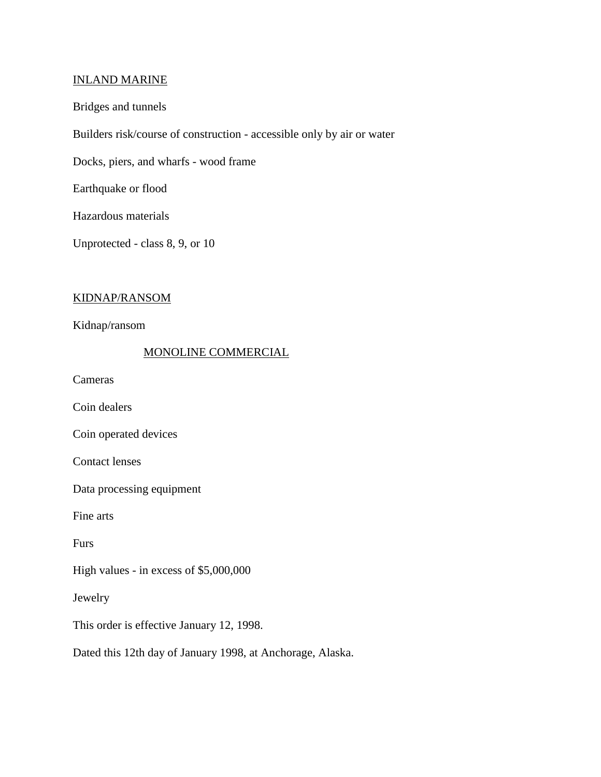### INLAND MARINE

#### Bridges and tunnels

Builders risk/course of construction - accessible only by air or water

Docks, piers, and wharfs - wood frame

Earthquake or flood

Hazardous materials

Unprotected - class 8, 9, or 10

# KIDNAP/RANSOM

Kidnap/ransom

# MONOLINE COMMERCIAL

Cameras

Coin dealers

Coin operated devices

Contact lenses

Data processing equipment

Fine arts

Furs

High values - in excess of \$5,000,000

Jewelry

This order is effective January 12, 1998.

Dated this 12th day of January 1998, at Anchorage, Alaska.